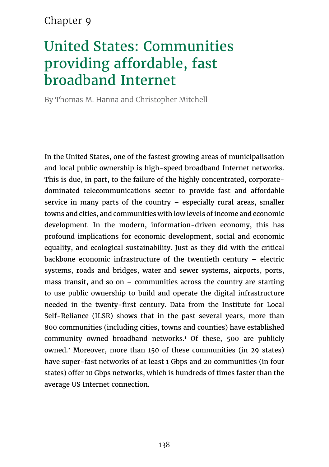### Chapter 9

# United States: Communities providing affordable, fast broadband Internet

By Thomas M. Hanna and Christopher Mitchell

In the United States, one of the fastest growing areas of municipalisation and local public ownership is high-speed broadband Internet networks. This is due, in part, to the failure of the highly concentrated, corporatedominated telecommunications sector to provide fast and affordable service in many parts of the country – especially rural areas, smaller towns and cities, and communities with low levels of income and economic development. In the modern, information-driven economy, this has profound implications for economic development, social and economic equality, and ecological sustainability. Just as they did with the critical backbone economic infrastructure of the twentieth century – electric systems, roads and bridges, water and sewer systems, airports, ports, mass transit, and so on – communities across the country are starting to use public ownership to build and operate the digital infrastructure needed in the twenty-first century. Data from the Institute for Local Self-Reliance (ILSR) shows that in the past several years, more than 800 communities (including cities, towns and counties) have established community owned broadband networks.1 Of these, 500 are publicly owned.2 Moreover, more than 150 of these communities (in 29 states) have super-fast networks of at least 1 Gbps and 20 communities (in four states) offer 10 Gbps networks, which is hundreds of times faster than the average US Internet connection.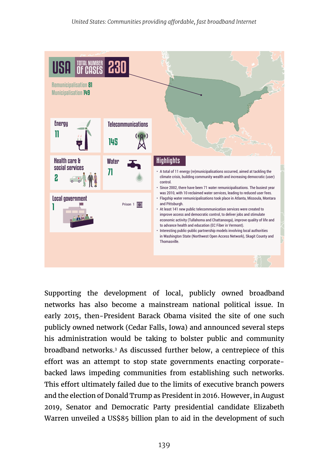

Supporting the development of local, publicly owned broadband networks has also become a mainstream national political issue. In early 2015, then-President Barack Obama visited the site of one such publicly owned network (Cedar Falls, Iowa) and announced several steps his administration would be taking to bolster public and community broadband networks.3 As discussed further below, a centrepiece of this effort was an attempt to stop state governments enacting corporatebacked laws impeding communities from establishing such networks. This effort ultimately failed due to the limits of executive branch powers and the election of Donald Trump as President in 2016. However, in August 2019, Senator and Democratic Party presidential candidate Elizabeth Warren unveiled a US\$85 billion plan to aid in the development of such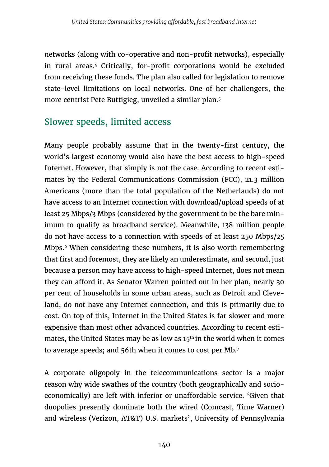networks (along with co-operative and non-profit networks), especially in rural areas.4 Critically, for-profit corporations would be excluded from receiving these funds. The plan also called for legislation to remove state-level limitations on local networks. One of her challengers, the more centrist Pete Buttigieg, unveiled a similar plan.5

### Slower speeds, limited access

Many people probably assume that in the twenty-first century, the world's largest economy would also have the best access to high-speed Internet. However, that simply is not the case. According to recent estimates by the Federal Communications Commission (FCC), 21.3 million Americans (more than the total population of the Netherlands) do not have access to an Internet connection with download/upload speeds of at least 25 Mbps/3 Mbps (considered by the government to be the bare minimum to qualify as broadband service). Meanwhile, 138 million people do not have access to a connection with speeds of at least 250 Mbps/25 Mbps.<sup>6</sup> When considering these numbers, it is also worth remembering that first and foremost, they are likely an underestimate, and second, just because a person may have access to high-speed Internet, does not mean they can afford it. As Senator Warren pointed out in her plan, nearly 30 per cent of households in some urban areas, such as Detroit and Cleveland, do not have any Internet connection, and this is primarily due to cost. On top of this, Internet in the United States is far slower and more expensive than most other advanced countries. According to recent estimates, the United States may be as low as 15<sup>th</sup> in the world when it comes to average speeds; and 56th when it comes to cost per Mb.<sup>7</sup>

A corporate oligopoly in the telecommunications sector is a major reason why wide swathes of the country (both geographically and socioeconomically) are left with inferior or unaffordable service. 'Given that duopolies presently dominate both the wired (Comcast, Time Warner) and wireless (Verizon, AT&T) U.S. markets', University of Pennsylvania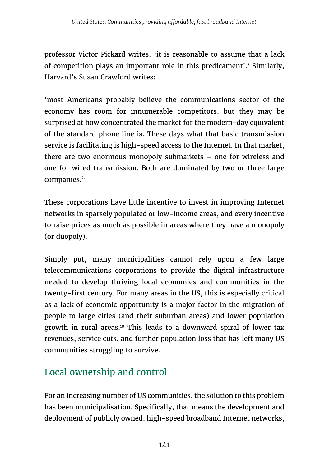professor Victor Pickard writes, 'it is reasonable to assume that a lack of competition plays an important role in this predicament'.8 Similarly, Harvard's Susan Crawford writes:

'most Americans probably believe the communications sector of the economy has room for innumerable competitors, but they may be surprised at how concentrated the market for the modern-day equivalent of the standard phone line is. These days what that basic transmission service is facilitating is high-speed access to the Internet. In that market, there are two enormous monopoly submarkets – one for wireless and one for wired transmission. Both are dominated by two or three large companies.'9

These corporations have little incentive to invest in improving Internet networks in sparsely populated or low-income areas, and every incentive to raise prices as much as possible in areas where they have a monopoly (or duopoly).

Simply put, many municipalities cannot rely upon a few large telecommunications corporations to provide the digital infrastructure needed to develop thriving local economies and communities in the twenty-first century. For many areas in the US, this is especially critical as a lack of economic opportunity is a major factor in the migration of people to large cities (and their suburban areas) and lower population growth in rural areas.<sup>10</sup> This leads to a downward spiral of lower tax revenues, service cuts, and further population loss that has left many US communities struggling to survive.

### Local ownership and control

For an increasing number of US communities, the solution to this problem has been municipalisation. Specifically, that means the development and deployment of publicly owned, high-speed broadband Internet networks,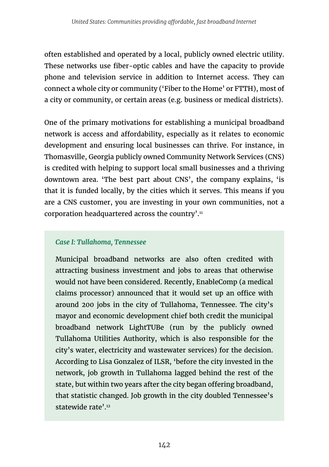often established and operated by a local, publicly owned electric utility. These networks use fiber-optic cables and have the capacity to provide phone and television service in addition to Internet access. They can connect a whole city or community ('Fiber to the Home' or FTTH), most of a city or community, or certain areas (e.g. business or medical districts).

One of the primary motivations for establishing a municipal broadband network is access and affordability, especially as it relates to economic development and ensuring local businesses can thrive. For instance, in Thomasville, Georgia publicly owned Community Network Services (CNS) is credited with helping to support local small businesses and a thriving downtown area. 'The best part about CNS', the company explains, 'is that it is funded locally, by the cities which it serves. This means if you are a CNS customer, you are investing in your own communities, not a corporation headquartered across the country'.<sup>11</sup>

#### *Case I: Tullahoma, Tennessee*

Municipal broadband networks are also often credited with attracting business investment and jobs to areas that otherwise would not have been considered. Recently, EnableComp (a medical claims processor) announced that it would set up an office with around 200 jobs in the city of Tullahoma, Tennessee. The city's mayor and economic development chief both credit the municipal broadband network LightTUBe (run by the publicly owned Tullahoma Utilities Authority, which is also responsible for the city's water, electricity and wastewater services) for the decision. According to Lisa Gonzalez of ILSR, 'before the city invested in the network, job growth in Tullahoma lagged behind the rest of the state, but within two years after the city began offering broadband, that statistic changed. Job growth in the city doubled Tennessee's statewide rate<sup>'.12</sup>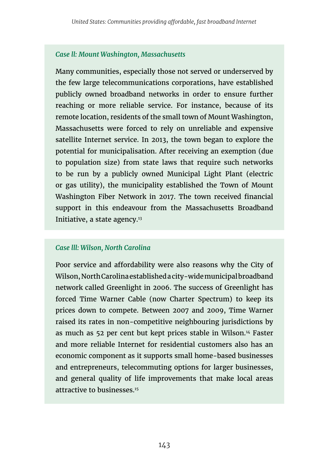#### *Case ll: Mount Washington, Massachusetts*

Many communities, especially those not served or underserved by the few large telecommunications corporations, have established publicly owned broadband networks in order to ensure further reaching or more reliable service. For instance, because of its remote location, residents of the small town of Mount Washington, Massachusetts were forced to rely on unreliable and expensive satellite Internet service. In 2013, the town began to explore the potential for municipalisation. After receiving an exemption (due to population size) from state laws that require such networks to be run by a publicly owned Municipal Light Plant (electric or gas utility), the municipality established the Town of Mount Washington Fiber Network in 2017. The town received financial support in this endeavour from the Massachusetts Broadband Initiative, a state agency.13

#### *Case lll: Wilson, North Carolina*

Poor service and affordability were also reasons why the City of Wilson, North Carolina established a city-wide municipal broadband network called Greenlight in 2006. The success of Greenlight has forced Time Warner Cable (now Charter Spectrum) to keep its prices down to compete. Between 2007 and 2009, Time Warner raised its rates in non-competitive neighbouring jurisdictions by as much as 52 per cent but kept prices stable in Wilson.14 Faster and more reliable Internet for residential customers also has an economic component as it supports small home-based businesses and entrepreneurs, telecommuting options for larger businesses, and general quality of life improvements that make local areas attractive to businesses.15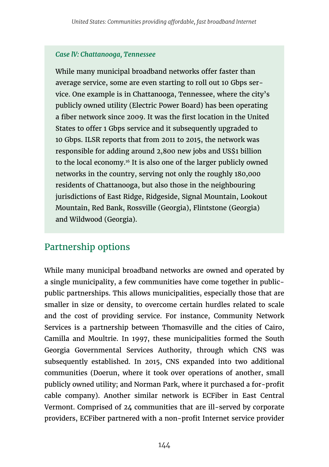#### *Case lV: Chattanooga, Tennessee*

While many municipal broadband networks offer faster than average service, some are even starting to roll out 10 Gbps service. One example is in Chattanooga, Tennessee, where the city's publicly owned utility (Electric Power Board) has been operating a fiber network since 2009. It was the first location in the United States to offer 1 Gbps service and it subsequently upgraded to 10 Gbps. ILSR reports that from 2011 to 2015, the network was responsible for adding around 2,800 new jobs and US\$1 billion to the local economy.<sup>16</sup> It is also one of the larger publicly owned networks in the country, serving not only the roughly 180,000 residents of Chattanooga, but also those in the neighbouring jurisdictions of East Ridge, Ridgeside, Signal Mountain, Lookout Mountain, Red Bank, Rossville (Georgia), Flintstone (Georgia) and Wildwood (Georgia).

### Partnership options

While many municipal broadband networks are owned and operated by a single municipality, a few communities have come together in publicpublic partnerships. This allows municipalities, especially those that are smaller in size or density, to overcome certain hurdles related to scale and the cost of providing service. For instance, Community Network Services is a partnership between Thomasville and the cities of Cairo, Camilla and Moultrie. In 1997, these municipalities formed the South Georgia Governmental Services Authority, through which CNS was subsequently established. In 2015, CNS expanded into two additional communities (Doerun, where it took over operations of another, small publicly owned utility; and Norman Park, where it purchased a for-profit cable company). Another similar network is ECFiber in East Central Vermont. Comprised of 24 communities that are ill-served by corporate providers, ECFiber partnered with a non-profit Internet service provider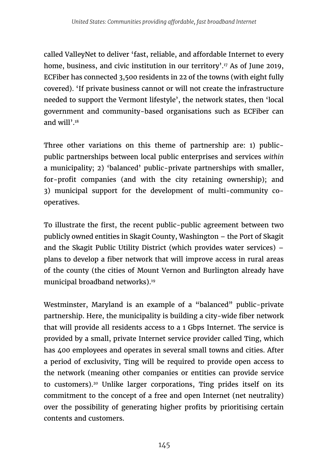called ValleyNet to deliver 'fast, reliable, and affordable Internet to every home, business, and civic institution in our territory'.<sup>17</sup> As of June 2019, ECFiber has connected 3,500 residents in 22 of the towns (with eight fully covered). 'If private business cannot or will not create the infrastructure needed to support the Vermont lifestyle', the network states, then 'local government and community-based organisations such as ECFiber can and will'.18

Three other variations on this theme of partnership are: 1) publicpublic partnerships between local public enterprises and services *within* a municipality; 2) 'balanced' public-private partnerships with smaller, for-profit companies (and with the city retaining ownership); and 3) municipal support for the development of multi-community cooperatives.

To illustrate the first, the recent public-public agreement between two publicly owned entities in Skagit County, Washington – the Port of Skagit and the Skagit Public Utility District (which provides water services) – plans to develop a fiber network that will improve access in rural areas of the county (the cities of Mount Vernon and Burlington already have municipal broadband networks).<sup>19</sup>

Westminster, Maryland is an example of a "balanced" public-private partnership. Here, the municipality is building a city-wide fiber network that will provide all residents access to a 1 Gbps Internet. The service is provided by a small, private Internet service provider called Ting, which has 400 employees and operates in several small towns and cities. After a period of exclusivity, Ting will be required to provide open access to the network (meaning other companies or entities can provide service to customers).20 Unlike larger corporations, Ting prides itself on its commitment to the concept of a free and open Internet (net neutrality) over the possibility of generating higher profits by prioritising certain contents and customers.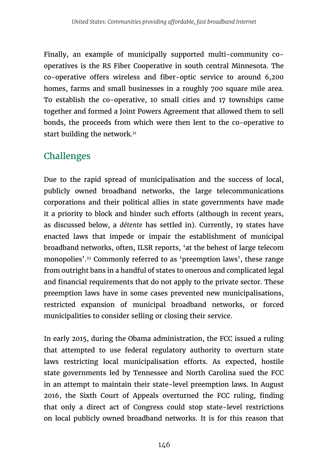Finally, an example of municipally supported multi-community cooperatives is the RS Fiber Cooperative in south central Minnesota. The co-operative offers wireless and fiber-optic service to around 6,200 homes, farms and small businesses in a roughly 700 square mile area. To establish the co-operative, 10 small cities and 17 townships came together and formed a Joint Powers Agreement that allowed them to sell bonds, the proceeds from which were then lent to the co-operative to start building the network.<sup>21</sup>

## Challenges

Due to the rapid spread of municipalisation and the success of local, publicly owned broadband networks, the large telecommunications corporations and their political allies in state governments have made it a priority to block and hinder such efforts (although in recent years, as discussed below, a *détente* has settled in). Currently, 19 states have enacted laws that impede or impair the establishment of municipal broadband networks, often, ILSR reports, 'at the behest of large telecom monopolies'.22 Commonly referred to as 'preemption laws', these range from outright bans in a handful of states to onerous and complicated legal and financial requirements that do not apply to the private sector. These preemption laws have in some cases prevented new municipalisations, restricted expansion of municipal broadband networks, or forced municipalities to consider selling or closing their service.

In early 2015, during the Obama administration, the FCC issued a ruling that attempted to use federal regulatory authority to overturn state laws restricting local municipalisation efforts. As expected, hostile state governments led by Tennessee and North Carolina sued the FCC in an attempt to maintain their state-level preemption laws. In August 2016, the Sixth Court of Appeals overturned the FCC ruling, finding that only a direct act of Congress could stop state-level restrictions on local publicly owned broadband networks. It is for this reason that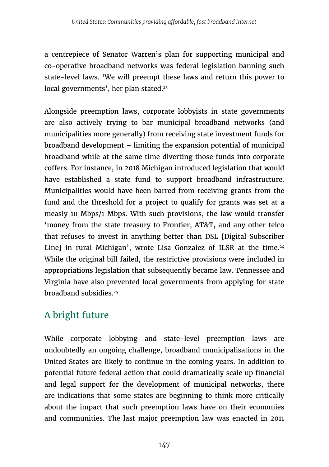a centrepiece of Senator Warren's plan for supporting municipal and co-operative broadband networks was federal legislation banning such state-level laws. 'We will preempt these laws and return this power to local governments', her plan stated.<sup>23</sup>

Alongside preemption laws, corporate lobbyists in state governments are also actively trying to bar municipal broadband networks (and municipalities more generally) from receiving state investment funds for broadband development – limiting the expansion potential of municipal broadband while at the same time diverting those funds into corporate coffers. For instance, in 2018 Michigan introduced legislation that would have established a state fund to support broadband infrastructure. Municipalities would have been barred from receiving grants from the fund and the threshold for a project to qualify for grants was set at a measly 10 Mbps/1 Mbps. With such provisions, the law would transfer 'money from the state treasury to Frontier, AT&T, and any other telco that refuses to invest in anything better than DSL [Digital Subscriber Line] in rural Michigan', wrote Lisa Gonzalez of ILSR at the time.<sup>24</sup> While the original bill failed, the restrictive provisions were included in appropriations legislation that subsequently became law. Tennessee and Virginia have also prevented local governments from applying for state broadband subsidies<sup>25</sup>

# A bright future

While corporate lobbying and state-level preemption laws are undoubtedly an ongoing challenge, broadband municipalisations in the United States are likely to continue in the coming years. In addition to potential future federal action that could dramatically scale up financial and legal support for the development of municipal networks, there are indications that some states are beginning to think more critically about the impact that such preemption laws have on their economies and communities. The last major preemption law was enacted in 2011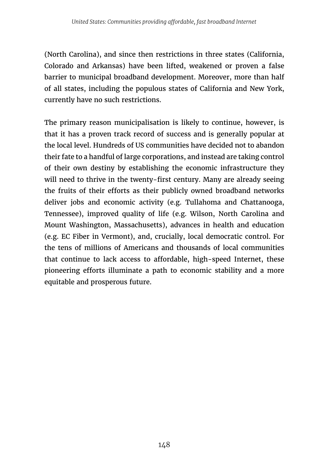(North Carolina), and since then restrictions in three states (California, Colorado and Arkansas) have been lifted, weakened or proven a false barrier to municipal broadband development. Moreover, more than half of all states, including the populous states of California and New York, currently have no such restrictions.

The primary reason municipalisation is likely to continue, however, is that it has a proven track record of success and is generally popular at the local level. Hundreds of US communities have decided not to abandon their fate to a handful of large corporations, and instead are taking control of their own destiny by establishing the economic infrastructure they will need to thrive in the twenty-first century. Many are already seeing the fruits of their efforts as their publicly owned broadband networks deliver jobs and economic activity (e.g. Tullahoma and Chattanooga, Tennessee), improved quality of life (e.g. Wilson, North Carolina and Mount Washington, Massachusetts), advances in health and education (e.g. EC Fiber in Vermont), and, crucially, local democratic control. For the tens of millions of Americans and thousands of local communities that continue to lack access to affordable, high-speed Internet, these pioneering efforts illuminate a path to economic stability and a more equitable and prosperous future.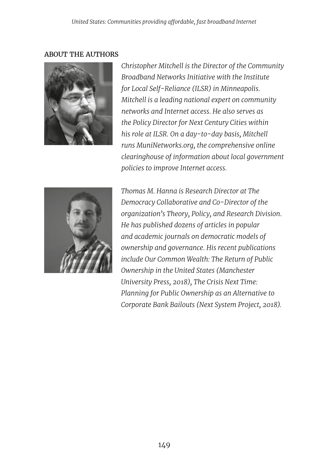#### ABOUT THE AUTHORS



*Christopher Mitchell is the Director of the Community Broadband Networks Initiative with the Institute for Local Self-Reliance (ILSR) in Minneapolis. Mitchell is a leading national expert on community networks and Internet access. He also serves as the Policy Director for Next Century Cities within his role at ILSR. On a day-to-day basis, Mitchell runs MuniNetworks.org, the comprehensive online clearinghouse of information about local government policies to improve Internet access.* 



*Thomas M. Hanna is Research Director at The Democracy Collaborative and Co-Director of the organization's Theory, Policy, and Research Division. He has published dozens of articles in popular and academic journals on democratic models of ownership and governance. His recent publications include Our Common Wealth: The Return of Public Ownership in the United States (Manchester University Press, 2018), The Crisis Next Time: Planning for Public Ownership as an Alternative to Corporate Bank Bailouts (Next System Project, 2018).*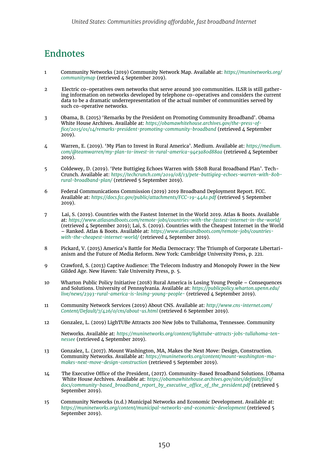### Endnotes

- 1 Community Networks (2019) Community Network Map. Available at: *[https://muninetworks.org/](https://muninetworks.org/communitymap) [communitymap](https://muninetworks.org/communitymap)* (retrieved 4 September 2019).
- 2 Electric co-operatives own networks that serve around 300 communities. ILSR is still gathering information on networks developed by telephone co-operatives and considers the current data to be a dramatic underrepresentation of the actual number of communities served by such co-operative networks.
- 3 Obama, B. (2015) 'Remarks by the President on Promoting Community Broadband'. Obama White House Archives. Available at: *[https://obamawhitehouse.archives.gov/the-press-of](https://obamawhitehouse.archives.gov/the-press-office/2015/01/14/remarks-president-promoting-community-broadband)[fice/2015/01/14/remarks-president-promoting-community-broadband](https://obamawhitehouse.archives.gov/the-press-office/2015/01/14/remarks-president-promoting-community-broadband)* (retrieved 4 September  $2019$ ).
- 4 Warren, E. (2019). 'My Plan to Invest in Rural America'. Medium. Available at: *[https://medium.](https://medium.com/@teamwarren/my-plan-to-invest-in-rural-america-94e3a80d88aa) [com/@teamwarren/my-plan-to-invest-in-rural-america-94e3a80d88aa](https://medium.com/@teamwarren/my-plan-to-invest-in-rural-america-94e3a80d88aa)* (retrieved 4 September 2019).
- 5 Coldewey, D. (2019). 'Pete Buttigieg Echoes Warren with \$80B Rural Broadband Plan'. Tech-Crunch. Available at: *[https://techcrunch.com/2019/08/13/pete-buttigieg-echoes-warren-with-80b](https://techcrunch.com/2019/08/13/pete-buttigieg-echoes-warren-with-80b-rural-broadband-plan/)[rural-broadband-plan/](https://techcrunch.com/2019/08/13/pete-buttigieg-echoes-warren-with-80b-rural-broadband-plan/)* (retrieved 5 September 2019).
- 6 Federal Communications Commission (2019) 2019 Broadband Deployment Report. FCC. Available at: *<https://docs.fcc.gov/public/attachments/FCC-19-44A1.pdf>* (retrieved 5 September 2019).
- 7 Lai, S. (2019). Countries with the Fastest Internet in the World 2019. Atlas & Boots. Available at: *<https://www.atlasandboots.com/remote-jobs/countries-with-the-fastest-internet-in-the-world/>* (retrieved  $\Delta$  September 2019); Lai, S. (2019). Countries with the Cheapest Internet in the World – Ranked. Atlas & Boots. Available at: *[https://www.atlasandboots.com/remote-jobs/countries](https://www.atlasandboots.com/remote-jobs/countries-with-the-cheapest-internet-world/)*[with-the-cheapest-internet-world/](https://www.atlasandboots.com/remote-jobs/countries-with-the-cheapest-internet-world/) (retrieved  $\lambda$  September 2019).
- 8 Pickard, V. (2015) America's Battle for Media Democracy: The Triumph of Corporate Libertarianism and the Future of Media Reform. New York: Cambridge University Press, p. 221.
- 9 Crawford, S. (2013) Captive Audience: The Telecom Industry and Monopoly Power in the New Gilded Age. New Haven: Yale University Press, p. 5.
- 10 Wharton Public Policy Initiative (2018) Rural America is Losing Young People Consequences and Solutions. University of Pennsylvania. Available at: *[https://publicpolicy.wharton.upenn.edu/](https://publicpolicy.wharton.upenn.edu/live/news/2393-rural-america-is-losing-young-people-) [live/news/2393-rural-america-is-losing-young-people-](https://publicpolicy.wharton.upenn.edu/live/news/2393-rural-america-is-losing-young-people-)* (retrieved 4 September 2019).
- 11 Community Network Services (2019) About CNS. Available at: *[http://www.cns-internet.com/](http://www.cns-internet.com/Content/Default/7/426/0/cns/about-us.html) [Content/Default/7/426/0/cns/about-us.html](http://www.cns-internet.com/Content/Default/7/426/0/cns/about-us.html)* (retrieved 6 September 2019).
- 12 Gonzalez, L. (2019) LighTUBe Attracts 200 New Jobs to Tullahoma, Tennessee. Community

Networks. Available at: *[https://muninetworks.org/content/lighttube-attracts-jobs-tullahoma-ten](https://muninetworks.org/content/lighttube-attracts-jobs-tullahoma-tennessee)[nessee](https://muninetworks.org/content/lighttube-attracts-jobs-tullahoma-tennessee)* (retrieved 4 September 2019).

- 13 Gonzalez, L. (2017). Mount Washington, MA, Makes the Next Move: Design, Construction. Community Networks. Available at: *[https://muninetworks.org/content/mount-washington-ma](https://muninetworks.org/content/mount-washington-ma-makes-next-move-design-construction)[makes-next-move-design-construction](https://muninetworks.org/content/mount-washington-ma-makes-next-move-design-construction)* (retrieved 5 September 2019).
- 14 The Executive Office of the President, (2017). Community-Based Broadband Solutions. [Obama White House Archives. Available at: *[https://obamawhitehouse.archives.gov/sites/default/files/](https://obamawhitehouse.archives.gov/sites/default/files/docs/community-based_broadband_report_by_executive_office_of_the_president.pdf) [docs/community-based\\_broadband\\_report\\_by\\_executive\\_office\\_of\\_the\\_president.pdf](https://obamawhitehouse.archives.gov/sites/default/files/docs/community-based_broadband_report_by_executive_office_of_the_president.pdf)* (retrieved 5 September 2019).
- 15 Community Networks (n.d.) Municipal Networks and Economic Development. Available at: *<https://muninetworks.org/content/municipal-networks-and-economic-development>* (retrieved 5 September 2019).